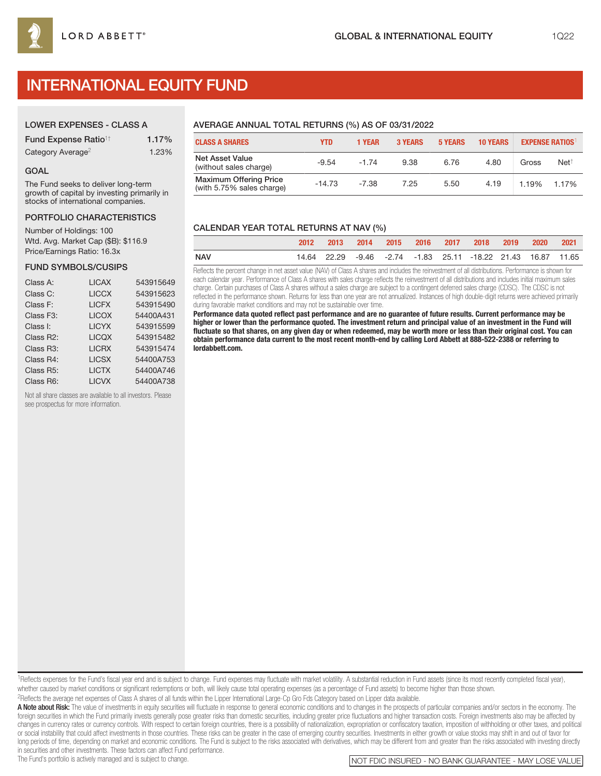# INTERNATIONAL EQUITY FUND

# LOWER EXPENSES - CLASS A

| <b>Fund Expense Ratio<sup>1†</sup></b> | 1.17% |
|----------------------------------------|-------|
| Category Average <sup>2</sup>          | 1.23% |

### GOAL

The Fund seeks to deliver long-term growth of capital by investing primarily in stocks of international companies.

#### PORTFOLIO CHARACTERISTICS

Number of Holdings: 100 Wtd. Avg. Market Cap (\$B): \$116.9 Price/Earnings Ratio: 16.3x

#### FUND SYMBOLS/CUSIPS

| Class A:               | <b>LICAX</b> | 543915649 |
|------------------------|--------------|-----------|
| Class C:               | <b>LICCX</b> | 543915623 |
| Class F:               | <b>LICFX</b> | 543915490 |
| Class F <sub>3</sub> : | <b>LICOX</b> | 54400A431 |
| Class I:               | <b>LICYX</b> | 543915599 |
| Class R2:              | <b>LICQX</b> | 543915482 |
| Class R3:              | <b>LICRX</b> | 543915474 |
| Class R4:              | <b>LICSX</b> | 54400A753 |
| Class R <sub>5</sub> : | <b>LICTX</b> | 54400A746 |
| Class R6:              | <b>LICVX</b> | 54400A738 |
|                        |              |           |

Not all share classes are available to all investors. Please see prospectus for more information.

# AVERAGE ANNUAL TOTAL RETURNS (%) AS OF 03/31/2022

| <b>CLASS A SHARES</b>                                      | YTD.     | 1 YEAR  | <b>3 YEARS</b> | <b>5 YEARS</b> | <b>10 YEARS</b> | <b>EXPENSE RATIOS</b> |                  |
|------------------------------------------------------------|----------|---------|----------------|----------------|-----------------|-----------------------|------------------|
| <b>Net Asset Value</b><br>(without sales charge)           | $-9.54$  | $-1.74$ | 9.38           | 6.76           | 4.80            | Gross                 | Net <sup>†</sup> |
| <b>Maximum Offering Price</b><br>(with 5.75% sales charge) | $-14.73$ | $-7.38$ | 7.25           | 5.50           | 4.19            | 1.19%                 | 1.17%            |

# CALENDAR YEAR TOTAL RETURNS AT NAV (%)

|            |  |  |  | 2013 2014 2015 2016 2017 2018 2019 2020 2021                 |  |  |
|------------|--|--|--|--------------------------------------------------------------|--|--|
| <b>NAV</b> |  |  |  | 14.64 22.29 -9.46 -2.74 -1.83 25.11 -18.22 21.43 16.87 11.65 |  |  |

Reflects the percent change in net asset value (NAV) of Class A shares and includes the reinvestment of all distributions. Performance is shown for each calendar year. Performance of Class A shares with sales charge reflects the reinvestment of all distributions and includes initial maximum sales charge. Certain purchases of Class A shares without a sales charge are subject to a contingent deferred sales charge (CDSC). The CDSC is not reflected in the performance shown. Returns for less than one year are not annualized. Instances of high double-digit returns were achieved primarily during favorable market conditions and may not be sustainable over time.

**Performance data quoted reflect past performance and are no guarantee of future results. Current performance may be higher or lower than the performance quoted. The investment return and principal value of an investment in the Fund will fluctuate so that shares, on any given day or when redeemed, may be worth more or less than their original cost. You can obtain performance data current to the most recent month-end by calling Lord Abbett at 888-522-2388 or referring to lordabbett.com.**

1Reflects expenses for the Fund's fiscal year end and is subject to change. Fund expenses may fluctuate with market volatility. A substantial reduction in Fund assets (since its most recently completed fiscal year), whether caused by market conditions or significant redemptions or both, will likely cause total operating expenses (as a percentage of Fund assets) to become higher than those shown. 2Reflects the average net expenses of Class A shares of all funds within the Lipper International Large-Cp Gro Fds Category based on Lipper data available.

A Note about Risk: The value of investments in equity securities will fluctuate in response to general economic conditions and to changes in the prospects of particular companies and/or sectors in the economy. The foreign securities in which the Fund primarily invests generally pose greater risks than domestic securities, including greater price fluctuations and higher transaction costs. Foreign investments also may be affected by changes in currency rates or currency controls. With respect to certain foreign countries, there is a possibility of nationalization, expropriation or confiscatory taxation, imposition of withholding or other taxes, and po or social instability that could affect investments in those countries. These risks can be greater in the case of emerging country securities. Investments in either growth or value stocks may shift in and out of favor for long periods of time, depending on market and economic conditions. The Fund is subject to the risks associated with derivatives, which may be different from and greater than the risks associated with investing directly

in securities and other investments. These factors can affect Fund performance.<br>The Fund's portfolio is actively managed and is subject to change.